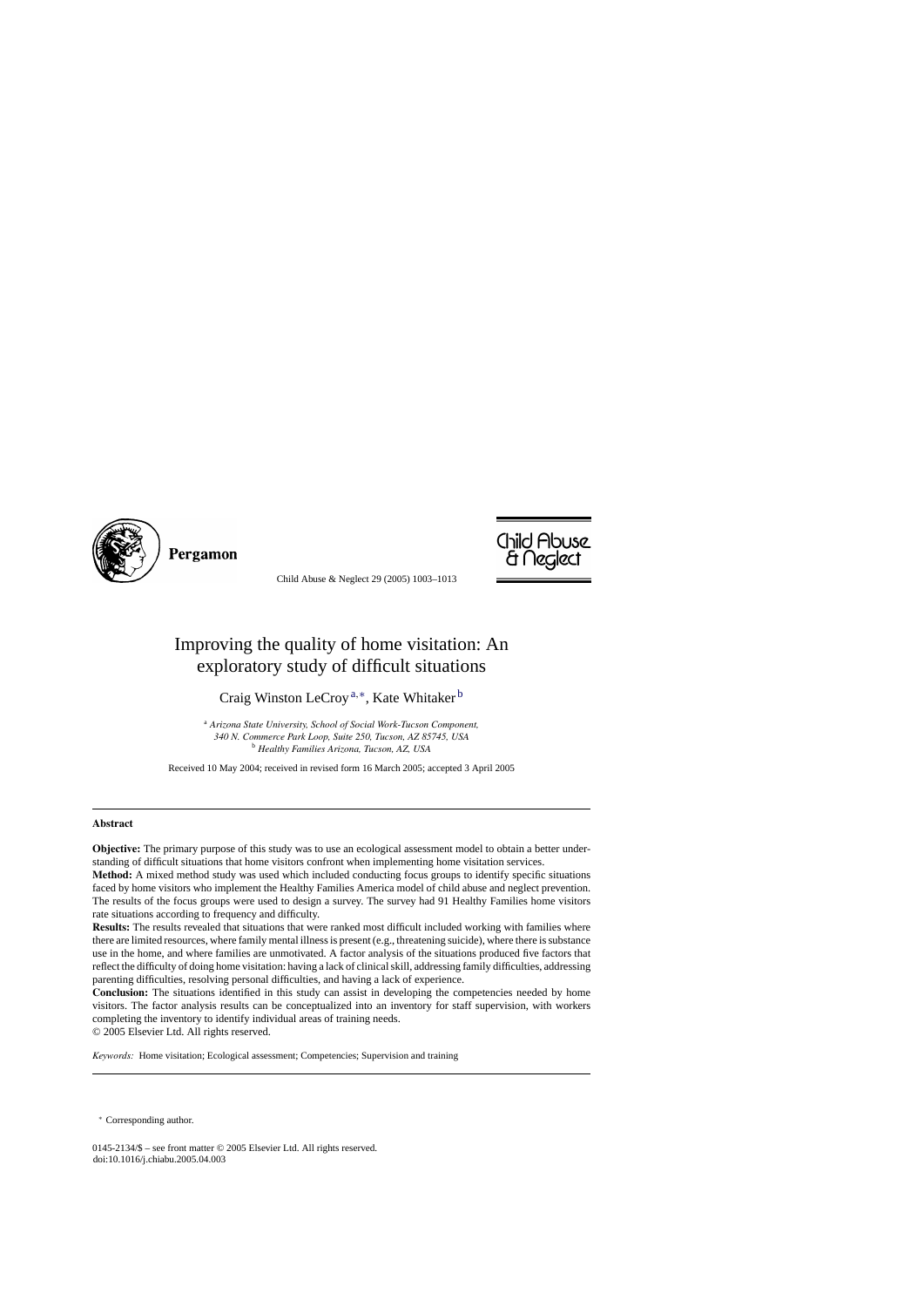

Pergamon

Child Abuse<br>& Neglect

Child Abuse & Neglect 29 (2005) 1003–1013

# Improving the quality of home visitation: An exploratory study of difficult situations

Craig Winston LeCroy<sup>a,∗</sup>, Kate Whitaker<sup>b</sup>

<sup>a</sup> *Arizona State University, School of Social Work-Tucson Component, 340 N. Commerce Park Loop, Suite 250, Tucson, AZ 85745, USA* <sup>b</sup> *Healthy Families Arizona, Tucson, AZ, USA*

Received 10 May 2004; received in revised form 16 March 2005; accepted 3 April 2005

# **Abstract**

**Objective:** The primary purpose of this study was to use an ecological assessment model to obtain a better understanding of difficult situations that home visitors confront when implementing home visitation services.

**Method:** A mixed method study was used which included conducting focus groups to identify specific situations faced by home visitors who implement the Healthy Families America model of child abuse and neglect prevention. The results of the focus groups were used to design a survey. The survey had 91 Healthy Families home visitors rate situations according to frequency and difficulty.

**Results:** The results revealed that situations that were ranked most difficult included working with families where there are limited resources, where family mental illness is present (e.g., threatening suicide), where there is substance use in the home, and where families are unmotivated. A factor analysis of the situations produced five factors that reflect the difficulty of doing home visitation: having a lack of clinical skill, addressing family difficulties, addressing parenting difficulties, resolving personal difficulties, and having a lack of experience.

**Conclusion:** The situations identified in this study can assist in developing the competencies needed by home visitors. The factor analysis results can be conceptualized into an inventory for staff supervision, with workers completing the inventory to identify individual areas of training needs.

© 2005 Elsevier Ltd. All rights reserved.

*Keywords:* Home visitation; Ecological assessment; Competencies; Supervision and training

Corresponding author.

0145-2134/\$ – see front matter © 2005 Elsevier Ltd. All rights reserved. doi:10.1016/j.chiabu.2005.04.003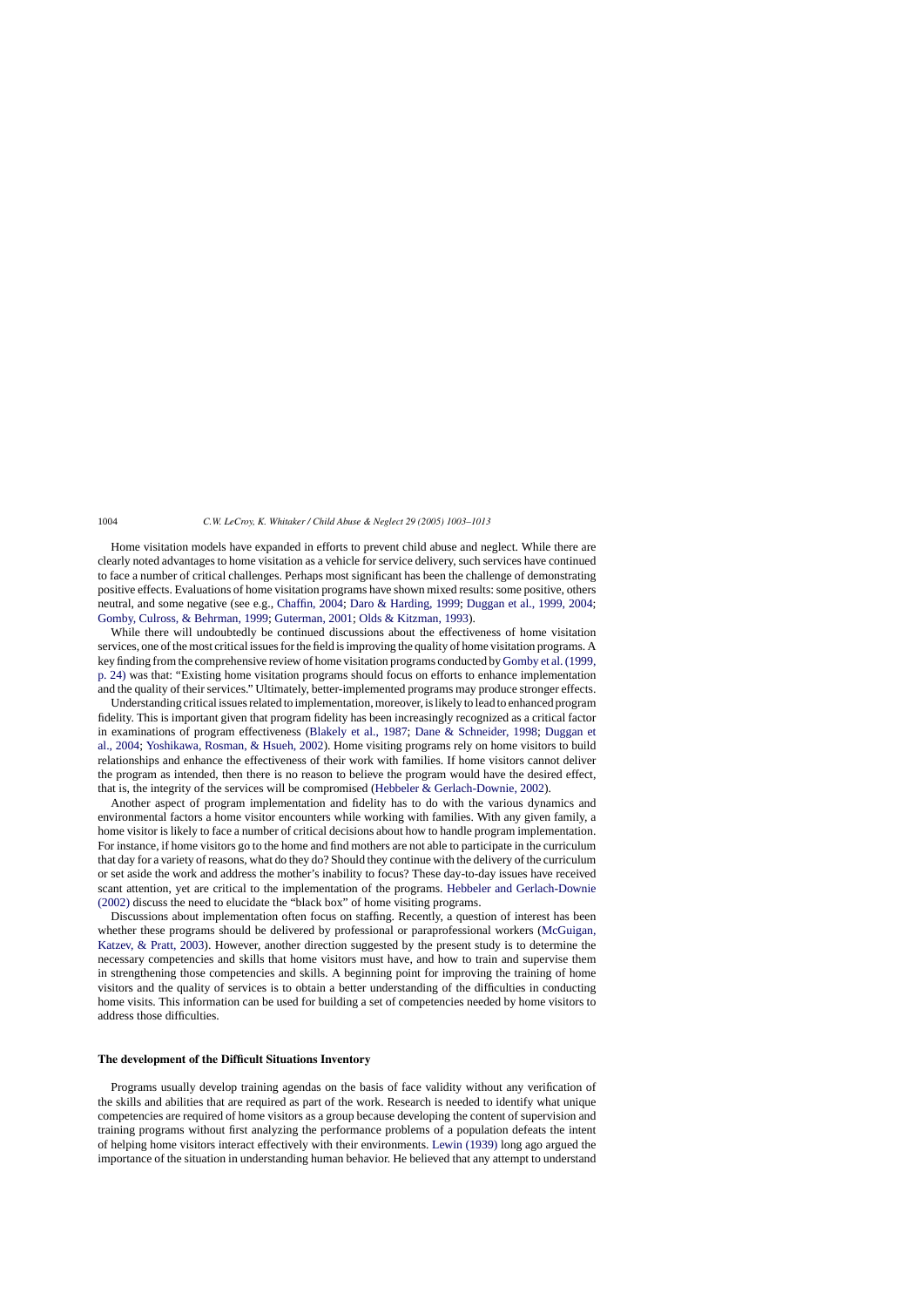Home visitation models have expanded in efforts to prevent child abuse and neglect. While there are clearly noted advantages to home visitation as a vehicle for service delivery, such services have continued to face a number of critical challenges. Perhaps most significant has been the challenge of demonstrating positive effects. Evaluations of home visitation programs have shown mixed results: some positive, others neutral, and some negative (see e.g., [Chaffin, 2004;](#page-9-0) [Daro & Harding, 1999;](#page-9-0) [Duggan et al., 1999, 2004;](#page-9-0) [Gomby, Culross, & Behrman, 1999;](#page-9-0) [Guterman, 2001;](#page-9-0) [Olds & Kitzman, 1993\).](#page-10-0)

While there will undoubtedly be continued discussions about the effectiveness of home visitation services, one of the most critical issues for the field is improving the quality of home visitation programs. A key finding from the comprehensive review of home visitation programs conducted by [Gomby et al. \(1999,](#page-9-0) [p. 24\)](#page-9-0) was that: "Existing home visitation programs should focus on efforts to enhance implementation and the quality of their services." Ultimately, better-implemented programs may produce stronger effects.

Understanding critical issues related to implementation, moreover, is likely to lead to enhanced program fidelity. This is important given that program fidelity has been increasingly recognized as a critical factor in examinations of program effectiveness [\(Blakely et al., 1987;](#page-9-0) [Dane & Schneider, 1998;](#page-9-0) [Duggan et](#page-9-0) [al., 2004;](#page-9-0) [Yoshikawa, Rosman, & Hsueh, 2002\).](#page-10-0) Home visiting programs rely on home visitors to build relationships and enhance the effectiveness of their work with families. If home visitors cannot deliver the program as intended, then there is no reason to believe the program would have the desired effect, that is, the integrity of the services will be compromised ([Hebbeler & Gerlach-Downie, 2002\).](#page-9-0)

Another aspect of program implementation and fidelity has to do with the various dynamics and environmental factors a home visitor encounters while working with families. With any given family, a home visitor is likely to face a number of critical decisions about how to handle program implementation. For instance, if home visitors go to the home and find mothers are not able to participate in the curriculum that day for a variety of reasons, what do they do? Should they continue with the delivery of the curriculum or set aside the work and address the mother's inability to focus? These day-to-day issues have received scant attention, yet are critical to the implementation of the programs. [Hebbeler and Gerlach-Downie](#page-9-0) [\(2002\)](#page-9-0) discuss the need to elucidate the "black box" of home visiting programs.

Discussions about implementation often focus on staffing. Recently, a question of interest has been whether these programs should be delivered by professional or paraprofessional workers ([McGuigan,](#page-10-0) [Katzev, & Pratt, 2003\)](#page-10-0). However, another direction suggested by the present study is to determine the necessary competencies and skills that home visitors must have, and how to train and supervise them in strengthening those competencies and skills. A beginning point for improving the training of home visitors and the quality of services is to obtain a better understanding of the difficulties in conducting home visits. This information can be used for building a set of competencies needed by home visitors to address those difficulties.

# **The development of the Difficult Situations Inventory**

Programs usually develop training agendas on the basis of face validity without any verification of the skills and abilities that are required as part of the work. Research is needed to identify what unique competencies are required of home visitors as a group because developing the content of supervision and training programs without first analyzing the performance problems of a population defeats the intent of helping home visitors interact effectively with their environments. [Lewin \(1939\)](#page-10-0) long ago argued the importance of the situation in understanding human behavior. He believed that any attempt to understand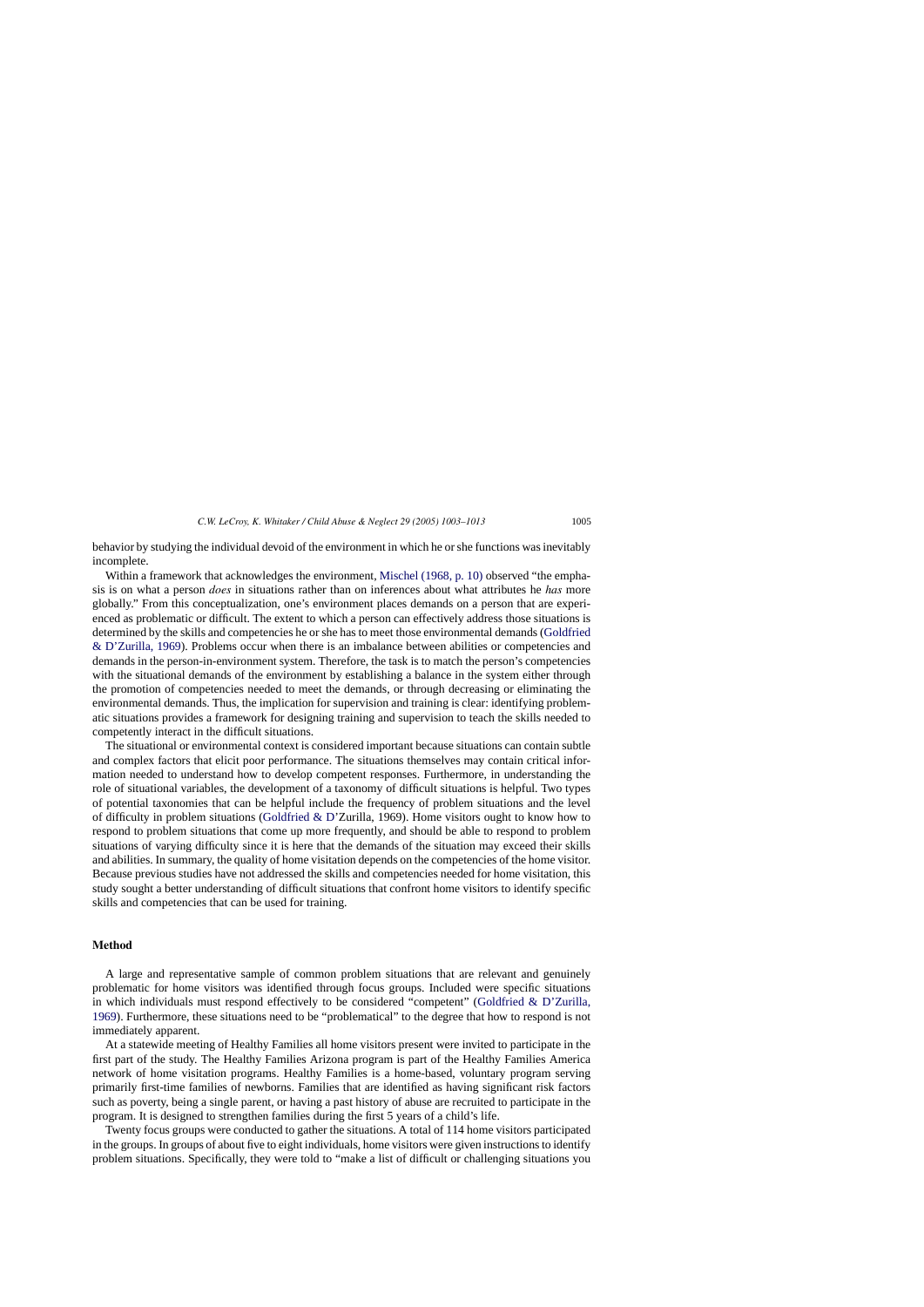behavior by studying the individual devoid of the environment in which he or she functions was inevitably incomplete.

Within a framework that acknowledges the environment, [Mischel \(1968, p. 10\)](#page-10-0) observed "the emphasis is on what a person *does* in situations rather than on inferences about what attributes he *has* more globally." From this conceptualization, one's environment places demands on a person that are experienced as problematic or difficult. The extent to which a person can effectively address those situations is determined by the skills and competencies he or she has to meet those environmental demands ([Goldfried](#page-9-0) [& D'Zurilla, 1969\).](#page-9-0) Problems occur when there is an imbalance between abilities or competencies and demands in the person-in-environment system. Therefore, the task is to match the person's competencies with the situational demands of the environment by establishing a balance in the system either through the promotion of competencies needed to meet the demands, or through decreasing or eliminating the environmental demands. Thus, the implication for supervision and training is clear: identifying problematic situations provides a framework for designing training and supervision to teach the skills needed to competently interact in the difficult situations.

The situational or environmental context is considered important because situations can contain subtle and complex factors that elicit poor performance. The situations themselves may contain critical information needed to understand how to develop competent responses. Furthermore, in understanding the role of situational variables, the development of a taxonomy of difficult situations is helpful. Two types of potential taxonomies that can be helpful include the frequency of problem situations and the level of difficulty in problem situations ([Goldfried & D'Z](#page-9-0)urilla, 1969). Home visitors ought to know how to respond to problem situations that come up more frequently, and should be able to respond to problem situations of varying difficulty since it is here that the demands of the situation may exceed their skills and abilities. In summary, the quality of home visitation depends on the competencies of the home visitor. Because previous studies have not addressed the skills and competencies needed for home visitation, this study sought a better understanding of difficult situations that confront home visitors to identify specific skills and competencies that can be used for training.

#### **Method**

A large and representative sample of common problem situations that are relevant and genuinely problematic for home visitors was identified through focus groups. Included were specific situations in which individuals must respond effectively to be considered "competent" [\(Goldfried & D'Zurilla,](#page-9-0) [1969\).](#page-9-0) Furthermore, these situations need to be "problematical" to the degree that how to respond is not immediately apparent.

At a statewide meeting of Healthy Families all home visitors present were invited to participate in the first part of the study. The Healthy Families Arizona program is part of the Healthy Families America network of home visitation programs. Healthy Families is a home-based, voluntary program serving primarily first-time families of newborns. Families that are identified as having significant risk factors such as poverty, being a single parent, or having a past history of abuse are recruited to participate in the program. It is designed to strengthen families during the first 5 years of a child's life.

Twenty focus groups were conducted to gather the situations. A total of 114 home visitors participated in the groups. In groups of about five to eight individuals, home visitors were given instructions to identify problem situations. Specifically, they were told to "make a list of difficult or challenging situations you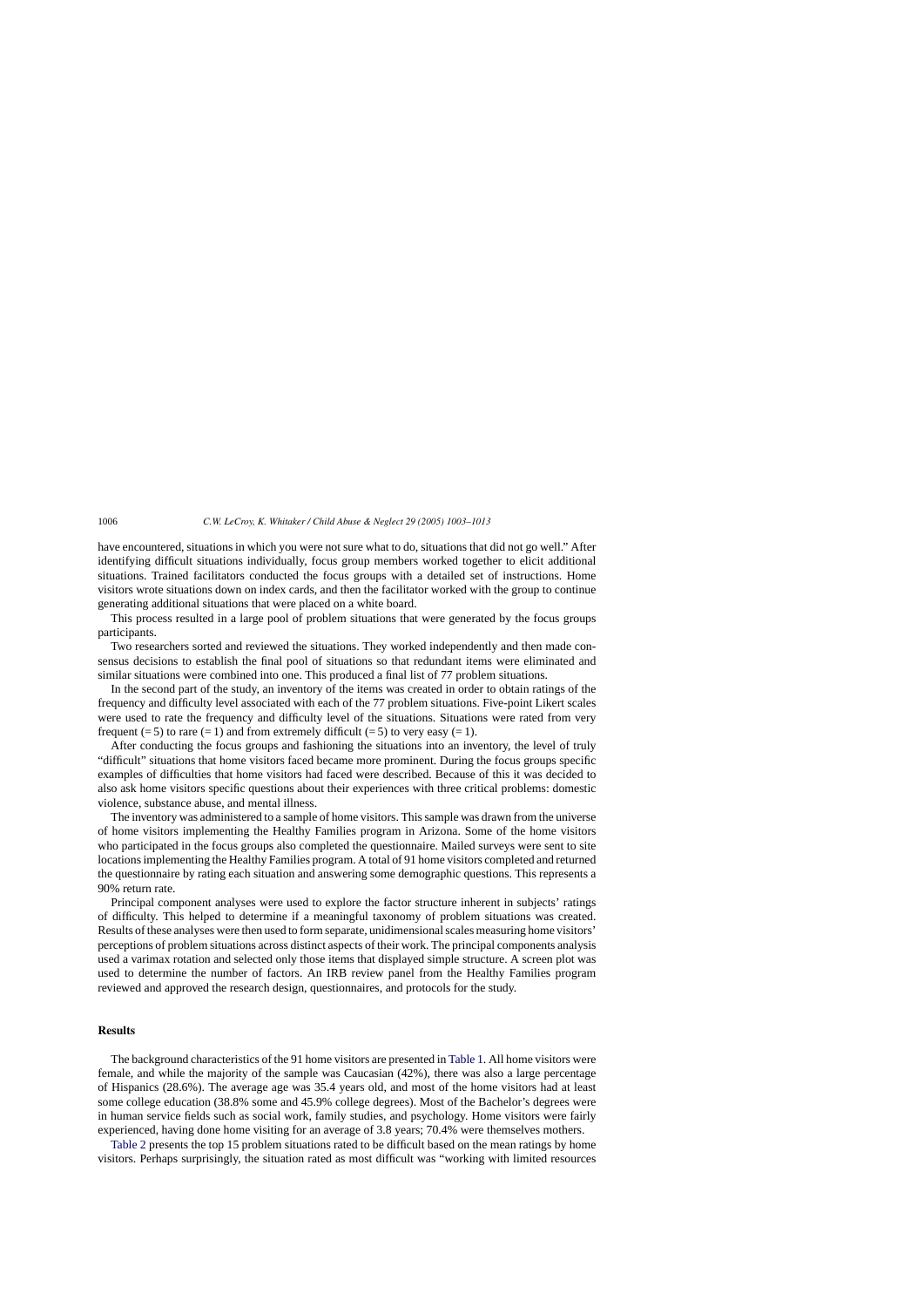have encountered, situations in which you were not sure what to do, situations that did not go well." After identifying difficult situations individually, focus group members worked together to elicit additional situations. Trained facilitators conducted the focus groups with a detailed set of instructions. Home visitors wrote situations down on index cards, and then the facilitator worked with the group to continue generating additional situations that were placed on a white board.

This process resulted in a large pool of problem situations that were generated by the focus groups participants.

Two researchers sorted and reviewed the situations. They worked independently and then made consensus decisions to establish the final pool of situations so that redundant items were eliminated and similar situations were combined into one. This produced a final list of 77 problem situations.

In the second part of the study, an inventory of the items was created in order to obtain ratings of the frequency and difficulty level associated with each of the 77 problem situations. Five-point Likert scales were used to rate the frequency and difficulty level of the situations. Situations were rated from very frequent  $(= 5)$  to rare  $(= 1)$  and from extremely difficult  $(= 5)$  to very easy  $(= 1)$ .

After conducting the focus groups and fashioning the situations into an inventory, the level of truly "difficult" situations that home visitors faced became more prominent. During the focus groups specific examples of difficulties that home visitors had faced were described. Because of this it was decided to also ask home visitors specific questions about their experiences with three critical problems: domestic violence, substance abuse, and mental illness.

The inventory was administered to a sample of home visitors. This sample was drawn from the universe of home visitors implementing the Healthy Families program in Arizona. Some of the home visitors who participated in the focus groups also completed the questionnaire. Mailed surveys were sent to site locations implementing the Healthy Families program. A total of 91 home visitors completed and returned the questionnaire by rating each situation and answering some demographic questions. This represents a 90% return rate.

Principal component analyses were used to explore the factor structure inherent in subjects' ratings of difficulty. This helped to determine if a meaningful taxonomy of problem situations was created. Results of these analyses were then used to form separate, unidimensional scales measuring home visitors' perceptions of problem situations across distinct aspects of their work. The principal components analysis used a varimax rotation and selected only those items that displayed simple structure. A screen plot was used to determine the number of factors. An IRB review panel from the Healthy Families program reviewed and approved the research design, questionnaires, and protocols for the study.

#### **Results**

The background characteristics of the 91 home visitors are presented in [Table 1. A](#page-4-0)ll home visitors were female, and while the majority of the sample was Caucasian (42%), there was also a large percentage of Hispanics (28.6%). The average age was 35.4 years old, and most of the home visitors had at least some college education (38.8% some and 45.9% college degrees). Most of the Bachelor's degrees were in human service fields such as social work, family studies, and psychology. Home visitors were fairly experienced, having done home visiting for an average of 3.8 years; 70.4% were themselves mothers.

[Table 2](#page-4-0) presents the top 15 problem situations rated to be difficult based on the mean ratings by home visitors. Perhaps surprisingly, the situation rated as most difficult was "working with limited resources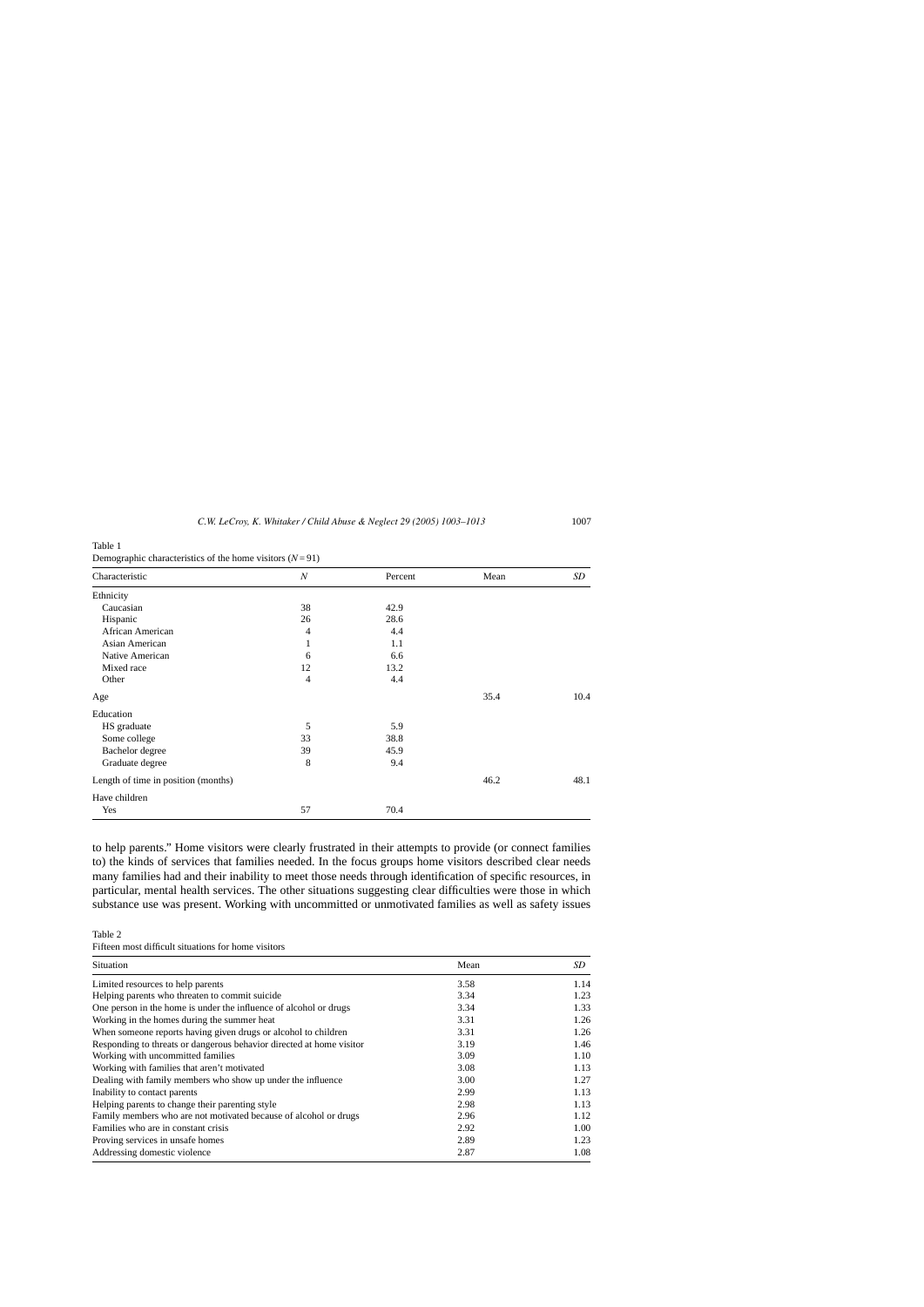| Characteristic                      | $\boldsymbol{N}$ | Percent | Mean | SD   |
|-------------------------------------|------------------|---------|------|------|
| Ethnicity                           |                  |         |      |      |
| Caucasian                           | 38               | 42.9    |      |      |
| Hispanic                            | 26               | 28.6    |      |      |
| African American                    | 4                | 4.4     |      |      |
| Asian American                      | 1                | 1.1     |      |      |
| Native American                     | 6                | 6.6     |      |      |
| Mixed race                          | 12               | 13.2    |      |      |
| Other                               | 4                | 4.4     |      |      |
| Age                                 |                  |         | 35.4 | 10.4 |
| Education                           |                  |         |      |      |
| HS graduate                         | 5                | 5.9     |      |      |
| Some college                        | 33               | 38.8    |      |      |
| Bachelor degree                     | 39               | 45.9    |      |      |
| Graduate degree                     | 8                | 9.4     |      |      |
| Length of time in position (months) |                  |         | 46.2 | 48.1 |
| Have children                       |                  |         |      |      |
| Yes                                 | 57               | 70.4    |      |      |

<span id="page-4-0"></span>Table 1 Demographic characteristics of the home visitors  $(N=91)$ 

to help parents." Home visitors were clearly frustrated in their attempts to provide (or connect families to) the kinds of services that families needed. In the focus groups home visitors described clear needs many families had and their inability to meet those needs through identification of specific resources, in particular, mental health services. The other situations suggesting clear difficulties were those in which substance use was present. Working with uncommitted or unmotivated families as well as safety issues

Table 2 Fifteen most difficult situations for home visitors

| <b>Situation</b>                                                     | Mean | SD   |
|----------------------------------------------------------------------|------|------|
| Limited resources to help parents                                    | 3.58 | 1.14 |
| Helping parents who threaten to commit suicide                       | 3.34 | 1.23 |
| One person in the home is under the influence of alcohol or drugs    | 3.34 | 1.33 |
| Working in the homes during the summer heat                          | 3.31 | 1.26 |
| When someone reports having given drugs or alcohol to children       | 3.31 | 1.26 |
| Responding to threats or dangerous behavior directed at home visitor | 3.19 | 1.46 |
| Working with uncommitted families                                    | 3.09 | 1.10 |
| Working with families that aren't motivated                          | 3.08 | 1.13 |
| Dealing with family members who show up under the influence          | 3.00 | 1.27 |
| Inability to contact parents                                         | 2.99 | 1.13 |
| Helping parents to change their parenting style                      | 2.98 | 1.13 |
| Family members who are not motivated because of alcohol or drugs     | 2.96 | 1.12 |
| Families who are in constant crisis                                  | 2.92 | 1.00 |
| Proving services in unsafe homes                                     | 2.89 | 1.23 |
| Addressing domestic violence                                         | 2.87 | 1.08 |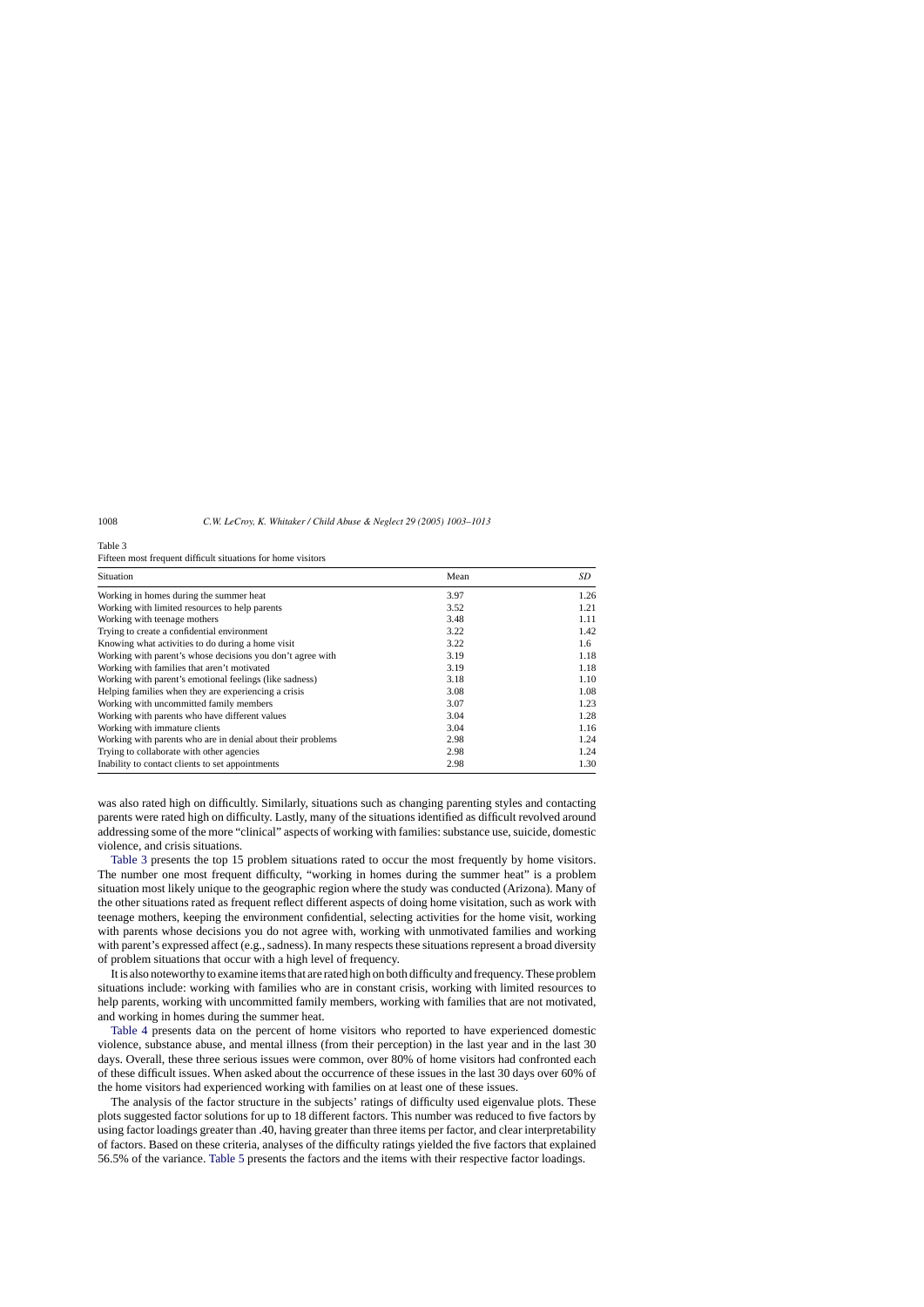| г<br>י |
|--------|
|--------|

Fifteen most frequent difficult situations for home visitors

| <b>Situation</b>                                            | Mean | SD.  |  |
|-------------------------------------------------------------|------|------|--|
| Working in homes during the summer heat                     | 3.97 | 1.26 |  |
| Working with limited resources to help parents              | 3.52 | 1.21 |  |
| Working with teenage mothers                                | 3.48 | 1.11 |  |
| Trying to create a confidential environment                 | 3.22 | 1.42 |  |
| Knowing what activities to do during a home visit           | 3.22 | 1.6  |  |
| Working with parent's whose decisions you don't agree with  | 3.19 | 1.18 |  |
| Working with families that aren't motivated                 | 3.19 | 1.18 |  |
| Working with parent's emotional feelings (like sadness)     | 3.18 | 1.10 |  |
| Helping families when they are experiencing a crisis        | 3.08 | 1.08 |  |
| Working with uncommitted family members                     | 3.07 | 1.23 |  |
| Working with parents who have different values              | 3.04 | 1.28 |  |
| Working with immature clients                               | 3.04 | 1.16 |  |
| Working with parents who are in denial about their problems | 2.98 | 1.24 |  |
| Trying to collaborate with other agencies                   | 2.98 | 1.24 |  |
| Inability to contact clients to set appointments            | 2.98 | 1.30 |  |

was also rated high on difficultly. Similarly, situations such as changing parenting styles and contacting parents were rated high on difficulty. Lastly, many of the situations identified as difficult revolved around addressing some of the more "clinical" aspects of working with families: substance use, suicide, domestic violence, and crisis situations.

Table 3 presents the top 15 problem situations rated to occur the most frequently by home visitors. The number one most frequent difficulty, "working in homes during the summer heat" is a problem situation most likely unique to the geographic region where the study was conducted (Arizona). Many of the other situations rated as frequent reflect different aspects of doing home visitation, such as work with teenage mothers, keeping the environment confidential, selecting activities for the home visit, working with parents whose decisions you do not agree with, working with unmotivated families and working with parent's expressed affect (e.g., sadness). In many respects these situations represent a broad diversity of problem situations that occur with a high level of frequency.

It is also noteworthy to examine items that are rated high on both difficulty and frequency. These problem situations include: working with families who are in constant crisis, working with limited resources to help parents, working with uncommitted family members, working with families that are not motivated, and working in homes during the summer heat.

[Table 4](#page-6-0) presents data on the percent of home visitors who reported to have experienced domestic violence, substance abuse, and mental illness (from their perception) in the last year and in the last 30 days. Overall, these three serious issues were common, over 80% of home visitors had confronted each of these difficult issues. When asked about the occurrence of these issues in the last 30 days over 60% of the home visitors had experienced working with families on at least one of these issues.

The analysis of the factor structure in the subjects' ratings of difficulty used eigenvalue plots. These plots suggested factor solutions for up to 18 different factors. This number was reduced to five factors by using factor loadings greater than .40, having greater than three items per factor, and clear interpretability of factors. Based on these criteria, analyses of the difficulty ratings yielded the five factors that explained 56.5% of the variance. [Table 5](#page-7-0) presents the factors and the items with their respective factor loadings.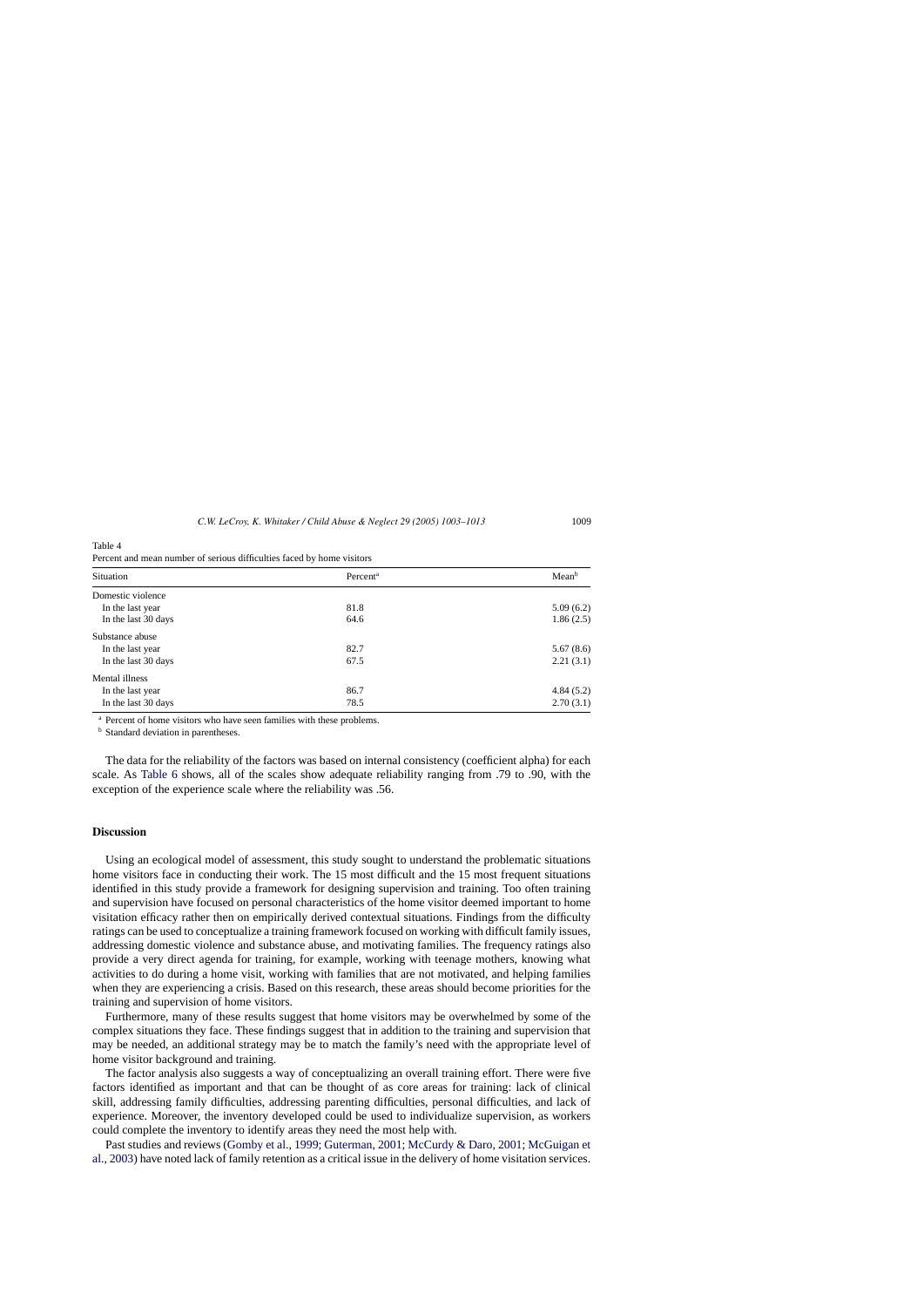| <b>Situation</b>    | Percent <sup>a</sup> | Mean <sup>b</sup> |
|---------------------|----------------------|-------------------|
| Domestic violence   |                      |                   |
| In the last year    | 81.8                 | 5.09(6.2)         |
| In the last 30 days | 64.6                 | 1.86(2.5)         |
| Substance abuse     |                      |                   |
| In the last year    | 82.7                 | 5.67(8.6)         |
| In the last 30 days | 67.5                 | 2.21(3.1)         |
| Mental illness      |                      |                   |
| In the last year    | 86.7                 | 4.84(5.2)         |
| In the last 30 days | 78.5                 | 2.70(3.1)         |
|                     |                      |                   |

<span id="page-6-0"></span>Table 4 Percent and mean number of serious difficulties faced by home visitors

<sup>a</sup> Percent of home visitors who have seen families with these problems.

**b** Standard deviation in parentheses.

The data for the reliability of the factors was based on internal consistency (coefficient alpha) for each scale. As [Table 6](#page-8-0) shows, all of the scales show adequate reliability ranging from .79 to .90, with the exception of the experience scale where the reliability was .56.

# **Discussion**

Using an ecological model of assessment, this study sought to understand the problematic situations home visitors face in conducting their work. The 15 most difficult and the 15 most frequent situations identified in this study provide a framework for designing supervision and training. Too often training and supervision have focused on personal characteristics of the home visitor deemed important to home visitation efficacy rather then on empirically derived contextual situations. Findings from the difficulty ratings can be used to conceptualize a training framework focused on working with difficult family issues, addressing domestic violence and substance abuse, and motivating families. The frequency ratings also provide a very direct agenda for training, for example, working with teenage mothers, knowing what activities to do during a home visit, working with families that are not motivated, and helping families when they are experiencing a crisis. Based on this research, these areas should become priorities for the training and supervision of home visitors.

Furthermore, many of these results suggest that home visitors may be overwhelmed by some of the complex situations they face. These findings suggest that in addition to the training and supervision that may be needed, an additional strategy may be to match the family's need with the appropriate level of home visitor background and training.

The factor analysis also suggests a way of conceptualizing an overall training effort. There were five factors identified as important and that can be thought of as core areas for training: lack of clinical skill, addressing family difficulties, addressing parenting difficulties, personal difficulties, and lack of experience. Moreover, the inventory developed could be used to individualize supervision, as workers could complete the inventory to identify areas they need the most help with.

Past studies and reviews [\(Gomby et al., 1999; Guterman, 2001;](#page-9-0) [McCurdy & Daro, 2001;](#page-10-0) [McGuigan et](#page-10-0) [al., 2003\)](#page-10-0) have noted lack of family retention as a critical issue in the delivery of home visitation services.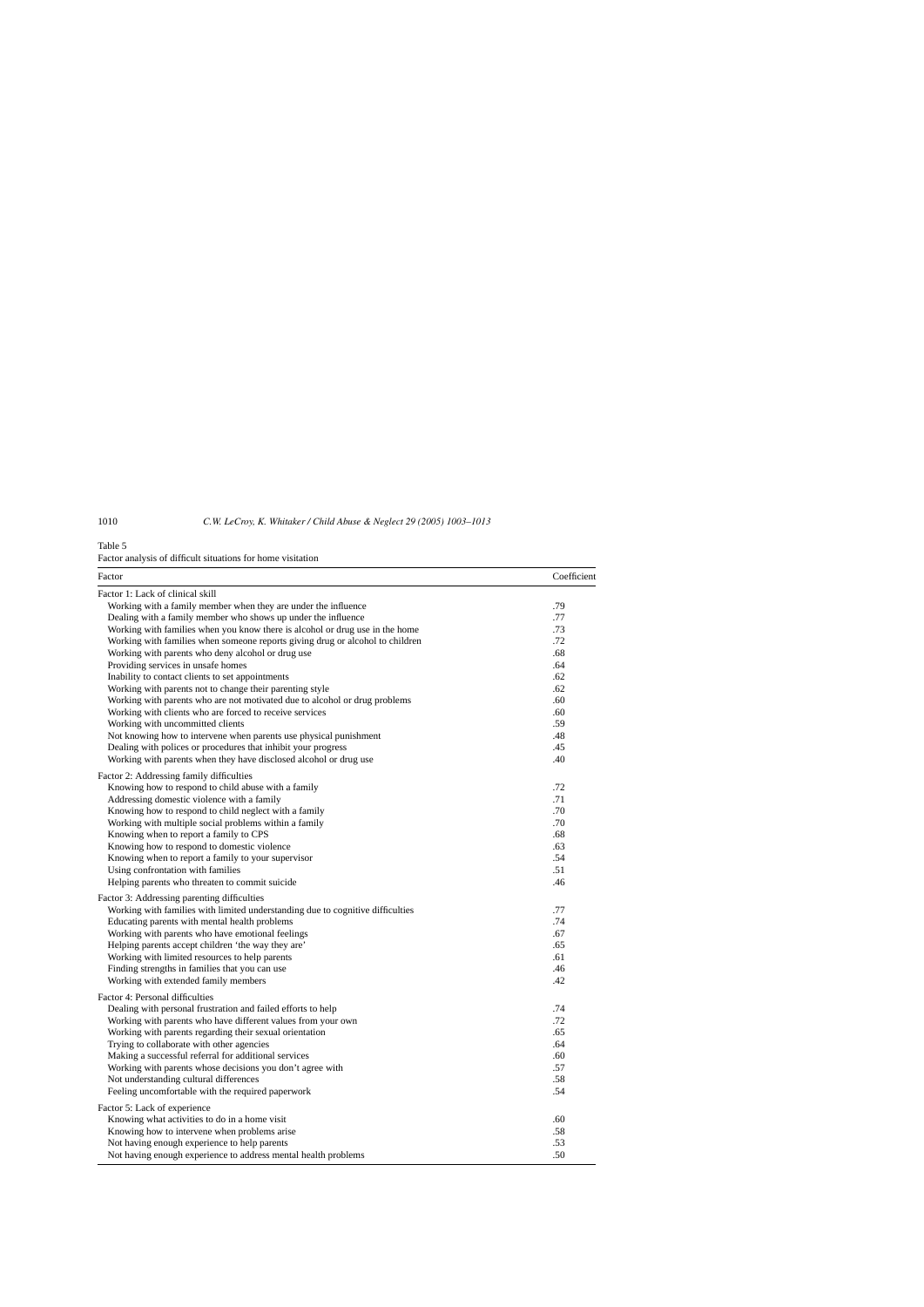# <span id="page-7-0"></span>1010 *C.W. LeCroy, K. Whitaker / Child Abuse & Neglect 29 (2005) 1003–1013*

#### Table 5

Factor analysis of difficult situations for home visitation

| Factor                                                                                              | Coefficient |
|-----------------------------------------------------------------------------------------------------|-------------|
| Factor 1: Lack of clinical skill                                                                    |             |
| Working with a family member when they are under the influence                                      | .79         |
| Dealing with a family member who shows up under the influence                                       | .77         |
| Working with families when you know there is alcohol or drug use in the home                        | .73         |
| Working with families when someone reports giving drug or alcohol to children                       | .72         |
| Working with parents who deny alcohol or drug use                                                   | .68         |
| Providing services in unsafe homes                                                                  | .64         |
| Inability to contact clients to set appointments                                                    | .62         |
| Working with parents not to change their parenting style                                            | .62         |
| Working with parents who are not motivated due to alcohol or drug problems                          | .60         |
| Working with clients who are forced to receive services                                             | .60         |
| Working with uncommitted clients                                                                    | .59         |
| Not knowing how to intervene when parents use physical punishment                                   | .48         |
| Dealing with polices or procedures that inhibit your progress                                       | .45         |
| Working with parents when they have disclosed alcohol or drug use                                   | .40         |
| Factor 2: Addressing family difficulties                                                            |             |
| Knowing how to respond to child abuse with a family                                                 | .72         |
| Addressing domestic violence with a family                                                          | .71         |
| Knowing how to respond to child neglect with a family                                               | .70         |
| Working with multiple social problems within a family                                               | .70         |
| Knowing when to report a family to CPS                                                              | .68         |
| Knowing how to respond to domestic violence                                                         | .63         |
| Knowing when to report a family to your supervisor                                                  | .54         |
| Using confrontation with families                                                                   | .51         |
| Helping parents who threaten to commit suicide                                                      | .46         |
| Factor 3: Addressing parenting difficulties                                                         |             |
| Working with families with limited understanding due to cognitive difficulties                      | .77         |
| Educating parents with mental health problems                                                       | .74         |
| Working with parents who have emotional feelings                                                    | .67         |
| Helping parents accept children 'the way they are'                                                  | .65         |
| Working with limited resources to help parents                                                      | .61         |
| Finding strengths in families that you can use                                                      | .46         |
| Working with extended family members                                                                | .42         |
| Factor 4: Personal difficulties                                                                     |             |
| Dealing with personal frustration and failed efforts to help                                        | .74         |
| Working with parents who have different values from your own                                        | .72         |
| Working with parents regarding their sexual orientation                                             | .65         |
| Trying to collaborate with other agencies                                                           | .64         |
| Making a successful referral for additional services                                                | .60         |
|                                                                                                     |             |
| Working with parents whose decisions you don't agree with<br>Not understanding cultural differences | .57<br>.58  |
| Feeling uncomfortable with the required paperwork                                                   | .54         |
|                                                                                                     |             |
| Factor 5: Lack of experience                                                                        |             |
| Knowing what activities to do in a home visit                                                       | .60         |
| Knowing how to intervene when problems arise                                                        | .58         |
| Not having enough experience to help parents                                                        | .53         |
| Not having enough experience to address mental health problems                                      | .50         |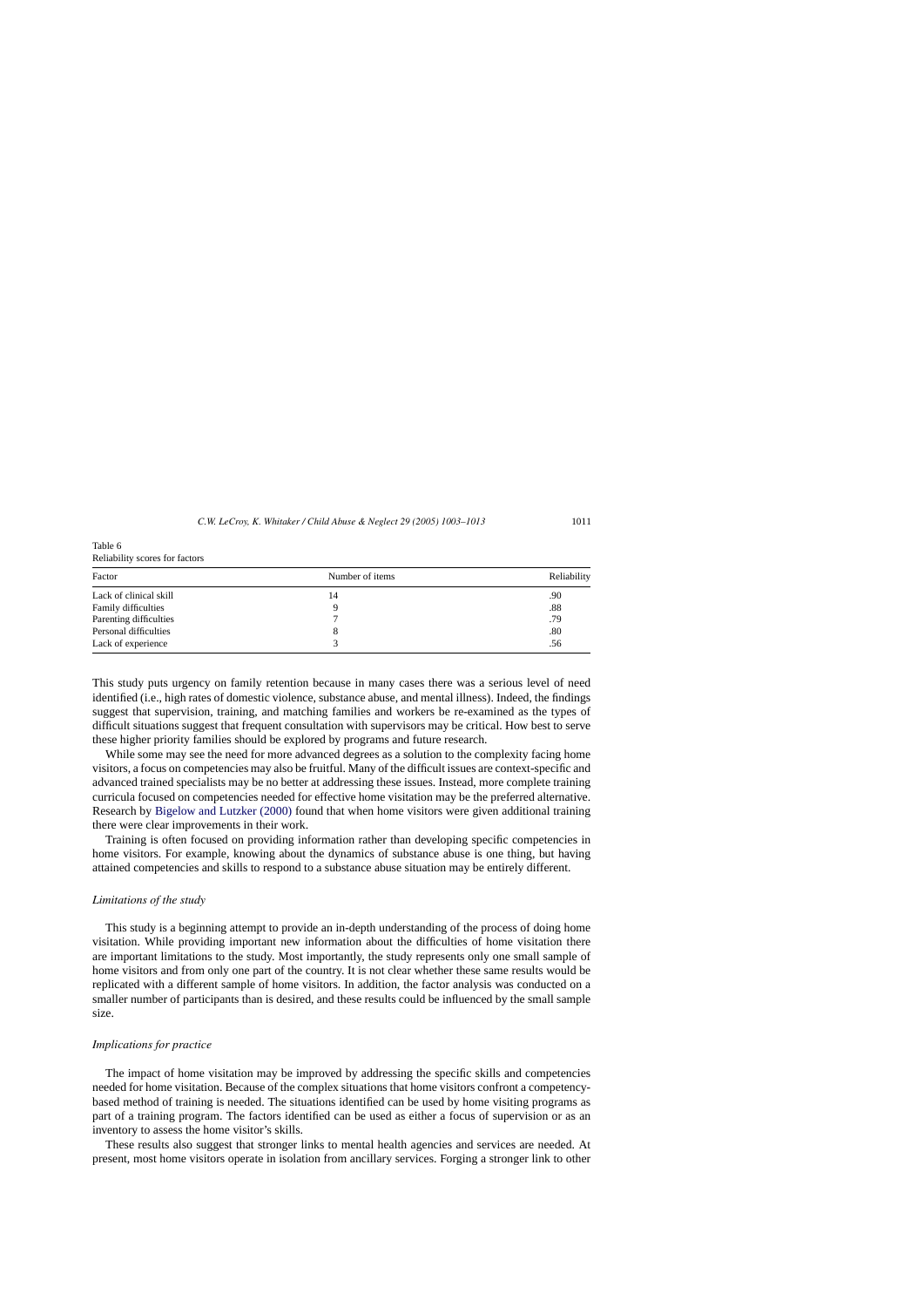| Factor                 | Number of items | Reliability |
|------------------------|-----------------|-------------|
| Lack of clinical skill | 14              | .90         |
| Family difficulties    |                 | .88         |
| Parenting difficulties |                 | .79         |
| Personal difficulties  | ◠               | .80         |
| Lack of experience     |                 | .56         |

<span id="page-8-0"></span>Table 6 Reliability scores for factors

This study puts urgency on family retention because in many cases there was a serious level of need identified (i.e., high rates of domestic violence, substance abuse, and mental illness). Indeed, the findings suggest that supervision, training, and matching families and workers be re-examined as the types of difficult situations suggest that frequent consultation with supervisors may be critical. How best to serve these higher priority families should be explored by programs and future research.

While some may see the need for more advanced degrees as a solution to the complexity facing home visitors, a focus on competencies may also be fruitful. Many of the difficult issues are context-specific and advanced trained specialists may be no better at addressing these issues. Instead, more complete training curricula focused on competencies needed for effective home visitation may be the preferred alternative. Research by [Bigelow and Lutzker \(2000\)](#page-9-0) found that when home visitors were given additional training there were clear improvements in their work.

Training is often focused on providing information rather than developing specific competencies in home visitors. For example, knowing about the dynamics of substance abuse is one thing, but having attained competencies and skills to respond to a substance abuse situation may be entirely different.

#### *Limitations of the study*

This study is a beginning attempt to provide an in-depth understanding of the process of doing home visitation. While providing important new information about the difficulties of home visitation there are important limitations to the study. Most importantly, the study represents only one small sample of home visitors and from only one part of the country. It is not clear whether these same results would be replicated with a different sample of home visitors. In addition, the factor analysis was conducted on a smaller number of participants than is desired, and these results could be influenced by the small sample size.

#### *Implications for practice*

The impact of home visitation may be improved by addressing the specific skills and competencies needed for home visitation. Because of the complex situations that home visitors confront a competencybased method of training is needed. The situations identified can be used by home visiting programs as part of a training program. The factors identified can be used as either a focus of supervision or as an inventory to assess the home visitor's skills.

These results also suggest that stronger links to mental health agencies and services are needed. At present, most home visitors operate in isolation from ancillary services. Forging a stronger link to other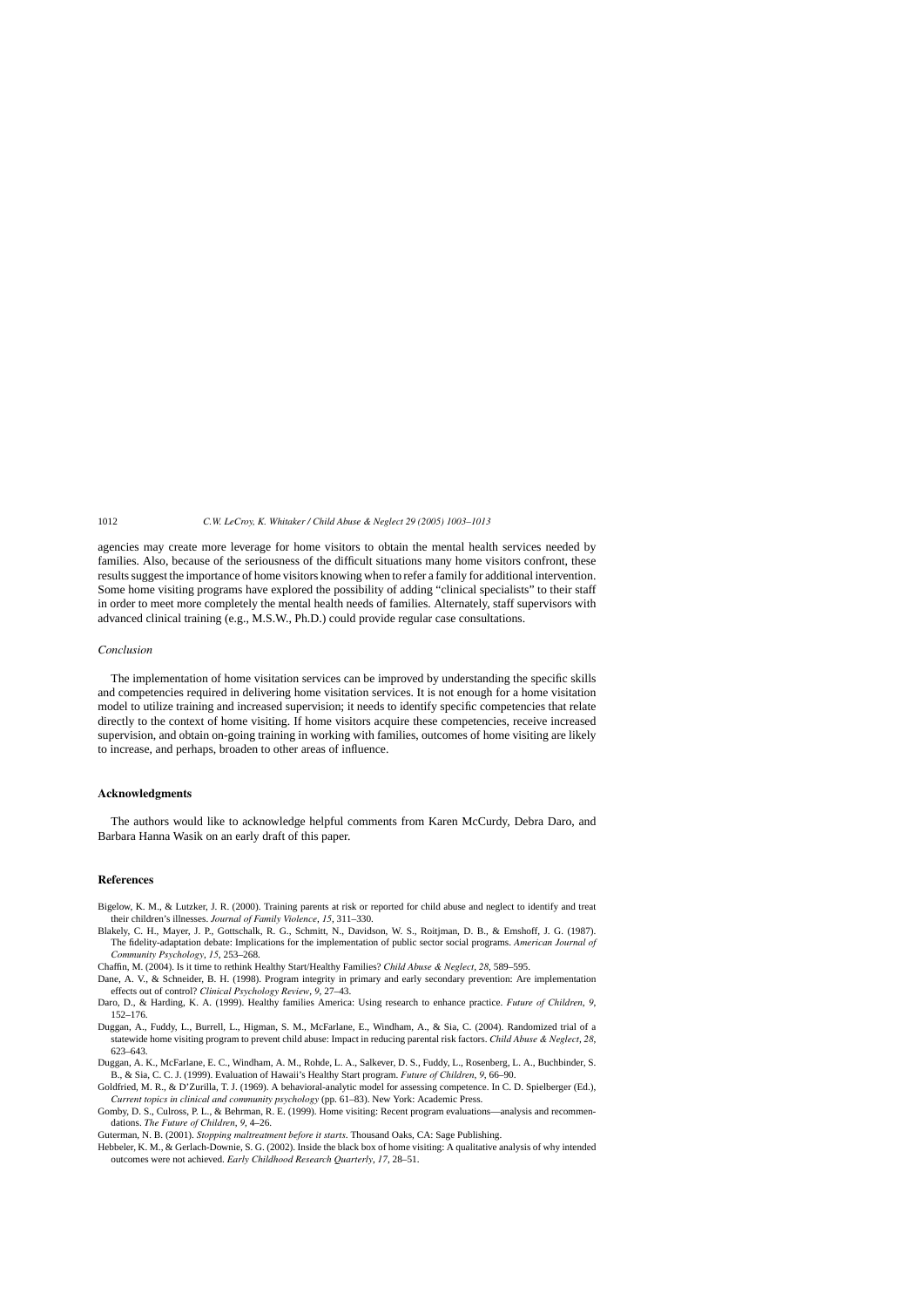<span id="page-9-0"></span>agencies may create more leverage for home visitors to obtain the mental health services needed by families. Also, because of the seriousness of the difficult situations many home visitors confront, these results suggest the importance of home visitors knowing when to refer a family for additional intervention. Some home visiting programs have explored the possibility of adding "clinical specialists" to their staff in order to meet more completely the mental health needs of families. Alternately, staff supervisors with advanced clinical training (e.g., M.S.W., Ph.D.) could provide regular case consultations.

# *Conclusion*

The implementation of home visitation services can be improved by understanding the specific skills and competencies required in delivering home visitation services. It is not enough for a home visitation model to utilize training and increased supervision; it needs to identify specific competencies that relate directly to the context of home visiting. If home visitors acquire these competencies, receive increased supervision, and obtain on-going training in working with families, outcomes of home visiting are likely to increase, and perhaps, broaden to other areas of influence.

#### **Acknowledgments**

The authors would like to acknowledge helpful comments from Karen McCurdy, Debra Daro, and Barbara Hanna Wasik on an early draft of this paper.

## **References**

- Bigelow, K. M., & Lutzker, J. R. (2000). Training parents at risk or reported for child abuse and neglect to identify and treat their children's illnesses. *Journal of Family Violence*, *15*, 311–330.
- Blakely, C. H., Mayer, J. P., Gottschalk, R. G., Schmitt, N., Davidson, W. S., Roitjman, D. B., & Emshoff, J. G. (1987). The fidelity-adaptation debate: Implications for the implementation of public sector social programs. *American Journal of Community Psychology*, *15*, 253–268.
- Chaffin, M. (2004). Is it time to rethink Healthy Start/Healthy Families? *Child Abuse & Neglect*, *28*, 589–595.
- Dane, A. V., & Schneider, B. H. (1998). Program integrity in primary and early secondary prevention: Are implementation effects out of control? *Clinical Psychology Review*, *9*, 27–43.
- Daro, D., & Harding, K. A. (1999). Healthy families America: Using research to enhance practice. *Future of Children*, *9*, 152–176.
- Duggan, A., Fuddy, L., Burrell, L., Higman, S. M., McFarlane, E., Windham, A., & Sia, C. (2004). Randomized trial of a statewide home visiting program to prevent child abuse: Impact in reducing parental risk factors. *Child Abuse & Neglect*, *28*, 623–643.
- Duggan, A. K., McFarlane, E. C., Windham, A. M., Rohde, L. A., Salkever, D. S., Fuddy, L., Rosenberg, L. A., Buchbinder, S. B., & Sia, C. C. J. (1999). Evaluation of Hawaii's Healthy Start program. *Future of Children*, *9*, 66–90.
- Goldfried, M. R., & D'Zurilla, T. J. (1969). A behavioral-analytic model for assessing competence. In C. D. Spielberger (Ed.), *Current topics in clinical and community psychology* (pp. 61–83). New York: Academic Press.
- Gomby, D. S., Culross, P. L., & Behrman, R. E. (1999). Home visiting: Recent program evaluations—analysis and recommendations. *The Future of Children*, *9*, 4–26.
- Guterman, N. B. (2001). *Stopping maltreatment before it starts*. Thousand Oaks, CA: Sage Publishing.
- Hebbeler, K. M., & Gerlach-Downie, S. G. (2002). Inside the black box of home visiting: A qualitative analysis of why intended outcomes were not achieved. *Early Childhood Research Quarterly*, *17*, 28–51.